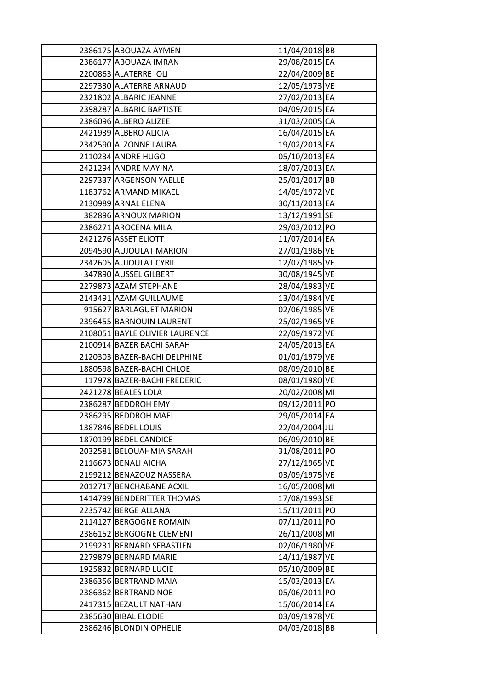| 2386175 ABOUAZA AYMEN          | 11/04/2018 BB |  |
|--------------------------------|---------------|--|
| 2386177 ABOUAZA IMRAN          | 29/08/2015 EA |  |
| 2200863 ALATERRE IOLI          | 22/04/2009 BE |  |
| 2297330 ALATERRE ARNAUD        | 12/05/1973 VE |  |
| 2321802 ALBARIC JEANNE         | 27/02/2013 EA |  |
| 2398287 ALBARIC BAPTISTE       | 04/09/2015 EA |  |
| 2386096 ALBERO ALIZEE          | 31/03/2005 CA |  |
| 2421939 ALBERO ALICIA          | 16/04/2015 EA |  |
| 2342590 ALZONNE LAURA          | 19/02/2013 EA |  |
| 2110234 ANDRE HUGO             | 05/10/2013 EA |  |
| 2421294 ANDRE MAYINA           | 18/07/2013 EA |  |
| 2297337 ARGENSON YAELLE        | 25/01/2017 BB |  |
| 1183762 ARMAND MIKAEL          | 14/05/1972 VE |  |
| 2130989 ARNAL ELENA            | 30/11/2013 EA |  |
| 382896 ARNOUX MARION           | 13/12/1991 SE |  |
| 2386271 AROCENA MILA           | 29/03/2012 PO |  |
| 2421276 ASSET ELIOTT           | 11/07/2014 EA |  |
| 2094590 AUJOULAT MARION        | 27/01/1986 VE |  |
| 2342605 AUJOULAT CYRIL         | 12/07/1985 VE |  |
| 347890 AUSSEL GILBERT          | 30/08/1945 VE |  |
| 2279873 AZAM STEPHANE          | 28/04/1983 VE |  |
| 2143491 AZAM GUILLAUME         | 13/04/1984 VE |  |
| 915627 BARLAGUET MARION        | 02/06/1985 VE |  |
| 2396455 BARNOUIN LAURENT       | 25/02/1965 VE |  |
| 2108051 BAYLE OLIVIER LAURENCE | 22/09/1972 VE |  |
| 2100914 BAZER BACHI SARAH      | 24/05/2013 EA |  |
| 2120303 BAZER-BACHI DELPHINE   | 01/01/1979 VE |  |
| 1880598 BAZER-BACHI CHLOE      | 08/09/2010 BE |  |
| 117978 BAZER-BACHI FREDERIC    | 08/01/1980 VE |  |
| 2421278 BEALES LOLA            | 20/02/2008 MI |  |
| 2386287 BEDDROH EMY            | 09/12/2011 PO |  |
| 2386295 BEDDROH MAEL           | 29/05/2014 EA |  |
| 1387846 BEDEL LOUIS            | 22/04/2004 JU |  |
| 1870199 BEDEL CANDICE          | 06/09/2010 BE |  |
| 2032581 BELOUAHMIA SARAH       | 31/08/2011 PO |  |
| 2116673 BENALI AICHA           | 27/12/1965 VE |  |
| 2199212 BENAZOUZ NASSERA       | 03/09/1975 VE |  |
| 2012717 BENCHABANE ACXIL       | 16/05/2008 MI |  |
| 1414799 BENDERITTER THOMAS     | 17/08/1993 SE |  |
| 2235742 BERGE ALLANA           | 15/11/2011 PO |  |
| 2114127 BERGOGNE ROMAIN        | 07/11/2011 PO |  |
| 2386152 BERGOGNE CLEMENT       | 26/11/2008 MI |  |
| 2199231 BERNARD SEBASTIEN      | 02/06/1980 VE |  |
| 2279879 BERNARD MARIE          | 14/11/1987 VE |  |
| 1925832 BERNARD LUCIE          | 05/10/2009 BE |  |
| 2386356 BERTRAND MAIA          | 15/03/2013 EA |  |
| 2386362 BERTRAND NOE           | 05/06/2011 PO |  |
| 2417315 BEZAULT NATHAN         | 15/06/2014 EA |  |
| 2385630 BIBAL ELODIE           | 03/09/1978 VE |  |
| 2386246 BLONDIN OPHELIE        | 04/03/2018 BB |  |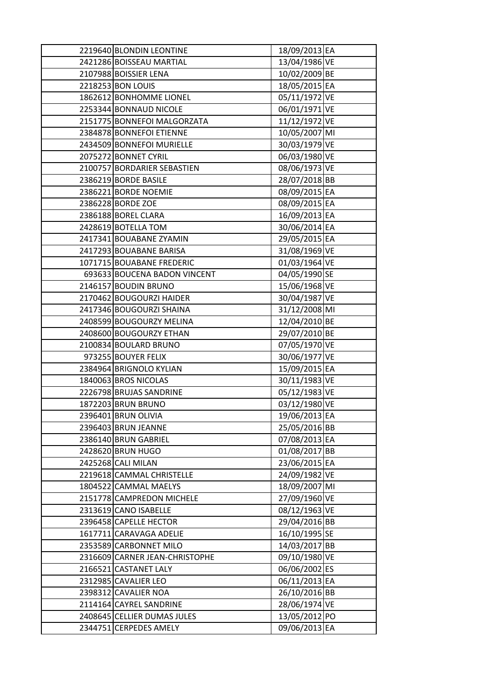| 2219640 BLONDIN LEONTINE       | 18/09/2013 EA |  |
|--------------------------------|---------------|--|
| 2421286 BOISSEAU MARTIAL       | 13/04/1986 VE |  |
| 2107988 BOISSIER LENA          | 10/02/2009 BE |  |
| 2218253 BON LOUIS              | 18/05/2015 EA |  |
| 1862612 BONHOMME LIONEL        | 05/11/1972 VE |  |
| 2253344 BONNAUD NICOLE         | 06/01/1971 VE |  |
| 2151775 BONNEFOI MALGORZATA    | 11/12/1972 VE |  |
| 2384878 BONNEFOI ETIENNE       | 10/05/2007 MI |  |
| 2434509 BONNEFOI MURIELLE      | 30/03/1979 VE |  |
| 2075272 BONNET CYRIL           | 06/03/1980 VE |  |
| 2100757 BORDARIER SEBASTIEN    | 08/06/1973 VE |  |
| 2386219 BORDE BASILE           | 28/07/2018 BB |  |
| 2386221 BORDE NOEMIE           | 08/09/2015 EA |  |
| 2386228 BORDE ZOE              | 08/09/2015 EA |  |
| 2386188 BOREL CLARA            | 16/09/2013 EA |  |
| 2428619 BOTELLA TOM            | 30/06/2014 EA |  |
| 2417341 BOUABANE ZYAMIN        | 29/05/2015 EA |  |
| 2417293 BOUABANE BARISA        | 31/08/1969 VE |  |
| 1071715 BOUABANE FREDERIC      | 01/03/1964 VE |  |
| 693633 BOUCENA BADON VINCENT   | 04/05/1990 SE |  |
| 2146157 BOUDIN BRUNO           | 15/06/1968 VE |  |
| 2170462 BOUGOURZI HAIDER       | 30/04/1987 VE |  |
| 2417346 BOUGOURZI SHAINA       | 31/12/2008 MI |  |
| 2408599 BOUGOURZY MELINA       | 12/04/2010 BE |  |
| 2408600 BOUGOURZY ETHAN        | 29/07/2010 BE |  |
| 2100834 BOULARD BRUNO          | 07/05/1970 VE |  |
| 973255 BOUYER FELIX            | 30/06/1977 VE |  |
| 2384964 BRIGNOLO KYLIAN        | 15/09/2015 EA |  |
| 1840063 BROS NICOLAS           | 30/11/1983 VE |  |
| 2226798 BRUJAS SANDRINE        | 05/12/1983 VE |  |
| 1872203 BRUN BRUNO             | 03/12/1980 VE |  |
| 2396401 BRUN OLIVIA            | 19/06/2013 EA |  |
| 2396403 BRUN JEANNE            | 25/05/2016 BB |  |
| 2386140 BRUN GABRIEL           | 07/08/2013 EA |  |
| 2428620 BRUN HUGO              | 01/08/2017 BB |  |
| 2425268 CALI MILAN             | 23/06/2015 EA |  |
| 2219618 CAMMAL CHRISTELLE      | 24/09/1982 VE |  |
| 1804522 CAMMAL MAELYS          | 18/09/2007 MI |  |
| 2151778 CAMPREDON MICHELE      | 27/09/1960 VE |  |
| 2313619 CANO ISABELLE          | 08/12/1963 VE |  |
| 2396458 CAPELLE HECTOR         | 29/04/2016 BB |  |
| 1617711 CARAVAGA ADELIE        | 16/10/1995 SE |  |
| 2353589 CARBONNET MILO         | 14/03/2017 BB |  |
| 2316609 CARNER JEAN-CHRISTOPHE | 09/10/1980 VE |  |
| 2166521 CASTANET LALY          | 06/06/2002 ES |  |
| 2312985 CAVALIER LEO           | 06/11/2013 EA |  |
| 2398312 CAVALIER NOA           | 26/10/2016 BB |  |
| 2114164 CAYREL SANDRINE        | 28/06/1974 VE |  |
| 2408645 CELLIER DUMAS JULES    | 13/05/2012 PO |  |
| 2344751 CERPEDES AMELY         | 09/06/2013 EA |  |
|                                |               |  |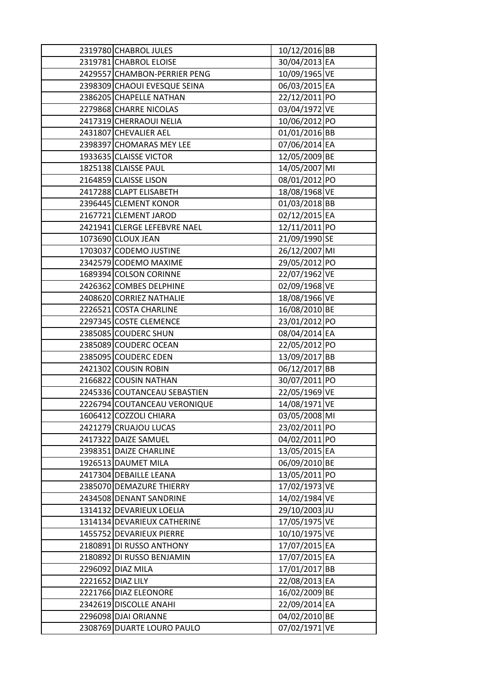| 2319780 CHABROL JULES        | 10/12/2016 BB |  |
|------------------------------|---------------|--|
| 2319781 CHABROL ELOISE       | 30/04/2013 EA |  |
| 2429557 CHAMBON-PERRIER PENG | 10/09/1965 VE |  |
| 2398309 CHAOUI EVESQUE SEINA | 06/03/2015 EA |  |
| 2386205 CHAPELLE NATHAN      | 22/12/2011 PO |  |
| 2279868 CHARRE NICOLAS       | 03/04/1972 VE |  |
| 2417319 CHERRAOUI NELIA      | 10/06/2012 PO |  |
| 2431807 CHEVALIER AEL        | 01/01/2016 BB |  |
| 2398397 CHOMARAS MEY LEE     | 07/06/2014 EA |  |
| 1933635 CLAISSE VICTOR       | 12/05/2009 BE |  |
| 1825138 CLAISSE PAUL         | 14/05/2007 MI |  |
| 2164859 CLAISSE LISON        | 08/01/2012 PO |  |
| 2417288 CLAPT ELISABETH      | 18/08/1968 VE |  |
| 2396445 CLEMENT KONOR        | 01/03/2018 BB |  |
| 2167721 CLEMENT JAROD        | 02/12/2015 EA |  |
| 2421941 CLERGE LEFEBVRE NAEL | 12/11/2011 PO |  |
| 1073690 CLOUX JEAN           | 21/09/1990 SE |  |
| 1703037 CODEMO JUSTINE       | 26/12/2007 MI |  |
| 2342579 CODEMO MAXIME        | 29/05/2012 PO |  |
| 1689394 COLSON CORINNE       | 22/07/1962 VE |  |
| 2426362 COMBES DELPHINE      | 02/09/1968 VE |  |
| 2408620 CORRIEZ NATHALIE     | 18/08/1966 VE |  |
| 2226521 COSTA CHARLINE       | 16/08/2010 BE |  |
| 2297345 COSTE CLEMENCE       | 23/01/2012 PO |  |
| 2385085 COUDERC SHUN         | 08/04/2014 EA |  |
| 2385089 COUDERC OCEAN        | 22/05/2012 PO |  |
| 2385095 COUDERC EDEN         | 13/09/2017 BB |  |
| 2421302 COUSIN ROBIN         | 06/12/2017 BB |  |
| 2166822 COUSIN NATHAN        | 30/07/2011 PO |  |
| 2245336 COUTANCEAU SEBASTIEN | 22/05/1969 VE |  |
| 2226794 COUTANCEAU VERONIQUE | 14/08/1971 VE |  |
| 1606412 COZZOLI CHIARA       | 03/05/2008 MI |  |
| 2421279 CRUAJOU LUCAS        | 23/02/2011 PO |  |
| 2417322 DAIZE SAMUEL         | 04/02/2011 PO |  |
| 2398351 DAIZE CHARLINE       | 13/05/2015 EA |  |
| 1926513 DAUMET MILA          | 06/09/2010 BE |  |
| 2417304 DEBAILLE LEANA       | 13/05/2011 PO |  |
| 2385070 DEMAZURE THIERRY     | 17/02/1973 VE |  |
| 2434508 DENANT SANDRINE      | 14/02/1984 VE |  |
| 1314132 DEVARIEUX LOELIA     | 29/10/2003 JU |  |
| 1314134 DEVARIEUX CATHERINE  | 17/05/1975 VE |  |
| 1455752 DEVARIEUX PIERRE     | 10/10/1975 VE |  |
| 2180891 DI RUSSO ANTHONY     | 17/07/2015 EA |  |
| 2180892 DI RUSSO BENJAMIN    | 17/07/2015 EA |  |
| 2296092 DIAZ MILA            | 17/01/2017 BB |  |
| 2221652 DIAZ LILY            | 22/08/2013 EA |  |
| 2221766 DIAZ ELEONORE        | 16/02/2009 BE |  |
| 2342619 DISCOLLE ANAHI       | 22/09/2014 EA |  |
| 2296098 DJAI ORIANNE         | 04/02/2010 BE |  |
| 2308769 DUARTE LOURO PAULO   | 07/02/1971 VE |  |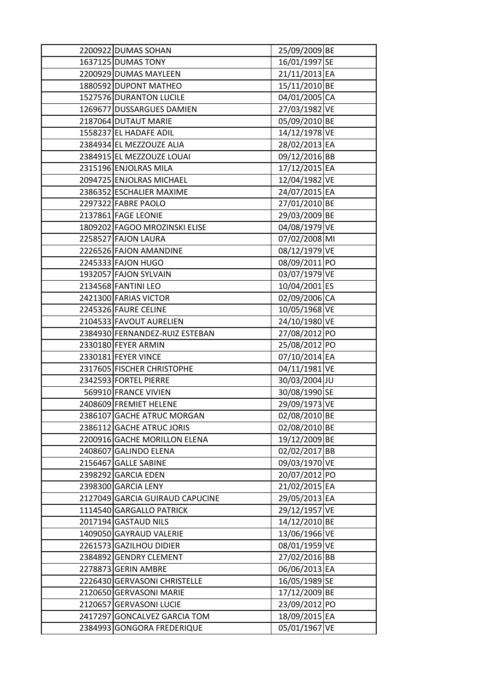| 2200922 DUMAS SOHAN             | 25/09/2009 BE |  |
|---------------------------------|---------------|--|
| 1637125 DUMAS TONY              | 16/01/1997 SE |  |
| 2200929 DUMAS MAYLEEN           | 21/11/2013 EA |  |
| 1880592 DUPONT MATHEO           | 15/11/2010 BE |  |
| 1527576 DURANTON LUCILE         | 04/01/2005 CA |  |
| 1269677 DUSSARGUES DAMIEN       | 27/03/1982 VE |  |
| 2187064 DUTAUT MARIE            | 05/09/2010 BE |  |
| 1558237 EL HADAFE ADIL          | 14/12/1978 VE |  |
| 2384934 EL MEZZOUZE ALIA        | 28/02/2013 EA |  |
| 2384915 EL MEZZOUZE LOUAI       | 09/12/2016 BB |  |
| 2315196 ENJOLRAS MILA           | 17/12/2015 EA |  |
| 2094725 ENJOLRAS MICHAEL        | 12/04/1982 VE |  |
| 2386352 ESCHALIER MAXIME        | 24/07/2015 EA |  |
| 2297322 FABRE PAOLO             | 27/01/2010 BE |  |
| 2137861 FAGE LEONIE             | 29/03/2009 BE |  |
| 1809202 FAGOO MROZINSKI ELISE   | 04/08/1979 VE |  |
| 2258527 FAJON LAURA             | 07/02/2008 MI |  |
| 2226526 FAJON AMANDINE          | 08/12/1979 VE |  |
| 2245333 FAJON HUGO              | 08/09/2011 PO |  |
| 1932057 FAJON SYLVAIN           | 03/07/1979 VE |  |
| 2134568 FANTINI LEO             | 10/04/2001 ES |  |
| 2421300 FARIAS VICTOR           | 02/09/2006 CA |  |
| 2245326 FAURE CELINE            | 10/05/1968 VE |  |
| 2104533 FAVOUT AURELIEN         | 24/10/1980 VE |  |
| 2384930 FERNANDEZ-RUIZ ESTEBAN  | 27/08/2012 PO |  |
| 2330180 FEYER ARMIN             | 25/08/2012 PO |  |
| 2330181 FEYER VINCE             | 07/10/2014 EA |  |
| 2317605 FISCHER CHRISTOPHE      | 04/11/1981 VE |  |
| 2342593 FORTEL PIERRE           | 30/03/2004 JU |  |
| 569910 FRANCE VIVIEN            | 30/08/1990 SE |  |
| 2408609 FREMIET HELENE          | 29/09/1973 VE |  |
| 2386107 GACHE ATRUC MORGAN      | 02/08/2010 BE |  |
| 2386112 GACHE ATRUC JORIS       | 02/08/2010 BE |  |
| 2200916 GACHE MORILLON ELENA    | 19/12/2009 BE |  |
| 2408607 GALINDO ELENA           | 02/02/2017 BB |  |
| 2156467 GALLE SABINE            | 09/03/1970 VE |  |
| 2398292 GARCIA EDEN             | 20/07/2012 PO |  |
| 2398300 GARCIA LENY             | 21/02/2015 EA |  |
| 2127049 GARCIA GUIRAUD CAPUCINE | 29/05/2013 EA |  |
| 1114540 GARGALLO PATRICK        | 29/12/1957 VE |  |
| 2017194 GASTAUD NILS            | 14/12/2010 BE |  |
| 1409050 GAYRAUD VALERIE         | 13/06/1966 VE |  |
| 2261573 GAZILHOU DIDIER         | 08/01/1959 VE |  |
| 2384892 GENDRY CLEMENT          | 27/02/2016 BB |  |
| 2278873 GERIN AMBRE             | 06/06/2013 EA |  |
| 2226430 GERVASONI CHRISTELLE    | 16/05/1989 SE |  |
| 2120650 GERVASONI MARIE         | 17/12/2009 BE |  |
| 2120657 GERVASONI LUCIE         | 23/09/2012 PO |  |
| 2417297 GONCALVEZ GARCIA TOM    | 18/09/2015 EA |  |
| 2384993 GONGORA FREDERIQUE      | 05/01/1967 VE |  |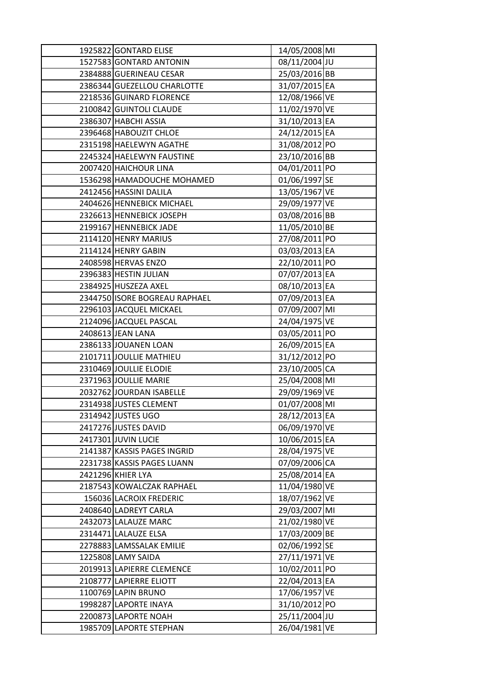| 1925822 GONTARD ELISE         | 14/05/2008 MI |  |
|-------------------------------|---------------|--|
| 1527583 GONTARD ANTONIN       | 08/11/2004 JU |  |
| 2384888 GUERINEAU CESAR       | 25/03/2016 BB |  |
| 2386344 GUEZELLOU CHARLOTTE   | 31/07/2015 EA |  |
| 2218536 GUINARD FLORENCE      | 12/08/1966 VE |  |
| 2100842 GUINTOLI CLAUDE       | 11/02/1970 VE |  |
| 2386307 HABCHI ASSIA          | 31/10/2013 EA |  |
| 2396468 HABOUZIT CHLOE        | 24/12/2015 EA |  |
| 2315198 HAELEWYN AGATHE       | 31/08/2012 PO |  |
| 2245324 HAELEWYN FAUSTINE     | 23/10/2016 BB |  |
| 2007420 HAICHOUR LINA         | 04/01/2011 PO |  |
| 1536298 HAMADOUCHE MOHAMED    | 01/06/1997 SE |  |
| 2412456 HASSINI DALILA        | 13/05/1967 VE |  |
| 2404626 HENNEBICK MICHAEL     | 29/09/1977 VE |  |
| 2326613 HENNEBICK JOSEPH      | 03/08/2016 BB |  |
| 2199167 HENNEBICK JADE        | 11/05/2010 BE |  |
| 2114120 HENRY MARIUS          | 27/08/2011 PO |  |
| 2114124 HENRY GABIN           | 03/03/2013 EA |  |
| 2408598 HERVAS ENZO           | 22/10/2011 PO |  |
| 2396383 HESTIN JULIAN         | 07/07/2013 EA |  |
| 2384925 HUSZEZA AXEL          | 08/10/2013 EA |  |
| 2344750 ISORE BOGREAU RAPHAEL | 07/09/2013 EA |  |
| 2296103 JACQUEL MICKAEL       | 07/09/2007 MI |  |
| 2124096 JACQUEL PASCAL        | 24/04/1975 VE |  |
| 2408613 JEAN LANA             | 03/05/2011 PO |  |
| 2386133 JOUANEN LOAN          | 26/09/2015 EA |  |
| 2101711 JOULLIE MATHIEU       | 31/12/2012 PO |  |
| 2310469 JOULLIE ELODIE        | 23/10/2005 CA |  |
| 2371963 JOULLIE MARIE         | 25/04/2008 MI |  |
| 2032762 JOURDAN ISABELLE      | 29/09/1969 VE |  |
| 2314938 JUSTES CLEMENT        | 01/07/2008 MI |  |
| 2314942 JUSTES UGO            | 28/12/2013 EA |  |
| 2417276 JUSTES DAVID          | 06/09/1970 VE |  |
| 2417301 JUVIN LUCIE           | 10/06/2015 EA |  |
| 2141387 KASSIS PAGES INGRID   | 28/04/1975 VE |  |
| 2231738 KASSIS PAGES LUANN    | 07/09/2006 CA |  |
| 2421296 KHIER LYA             | 25/08/2014 EA |  |
| 2187543 KOWALCZAK RAPHAEL     | 11/04/1980 VE |  |
| 156036 LACROIX FREDERIC       | 18/07/1962 VE |  |
| 2408640 LADREYT CARLA         | 29/03/2007 MI |  |
| 2432073 LALAUZE MARC          | 21/02/1980 VE |  |
| 2314471 LALAUZE ELSA          | 17/03/2009 BE |  |
| 2278883 LAMSSALAK EMILIE      | 02/06/1992 SE |  |
| 1225808 LAMY SAIDA            | 27/11/1971 VE |  |
| 2019913 LAPIERRE CLEMENCE     | 10/02/2011 PO |  |
| 2108777 LAPIERRE ELIOTT       | 22/04/2013 EA |  |
| 1100769 LAPIN BRUNO           | 17/06/1957 VE |  |
| 1998287 LAPORTE INAYA         | 31/10/2012 PO |  |
| 2200873 LAPORTE NOAH          | 25/11/2004 JU |  |
| 1985709 LAPORTE STEPHAN       | 26/04/1981 VE |  |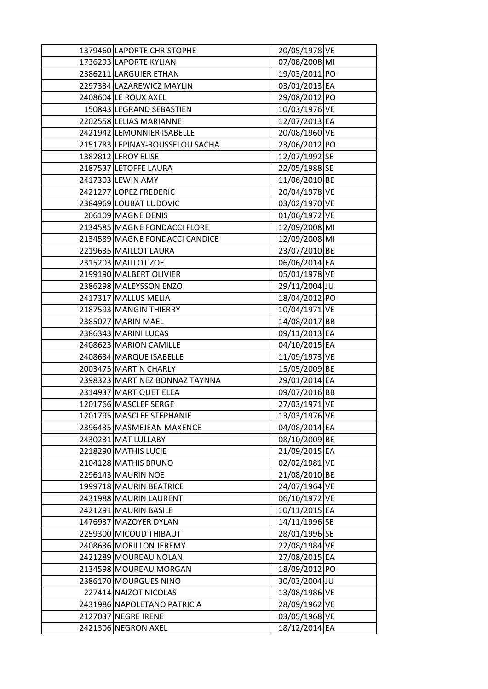| 1379460 LAPORTE CHRISTOPHE      | 20/05/1978 VE |  |
|---------------------------------|---------------|--|
| 1736293 LAPORTE KYLIAN          | 07/08/2008 MI |  |
| 2386211 LARGUIER ETHAN          | 19/03/2011 PO |  |
| 2297334 LAZAREWICZ MAYLIN       | 03/01/2013 EA |  |
| 2408604 LE ROUX AXEL            | 29/08/2012 PO |  |
| 150843 LEGRAND SEBASTIEN        | 10/03/1976 VE |  |
| 2202558 LELIAS MARIANNE         | 12/07/2013 EA |  |
| 2421942 LEMONNIER ISABELLE      | 20/08/1960 VE |  |
| 2151783 LEPINAY-ROUSSELOU SACHA | 23/06/2012 PO |  |
| 1382812 LEROY ELISE             | 12/07/1992 SE |  |
| 2187537 LETOFFE LAURA           | 22/05/1988 SE |  |
| 2417303 LEWIN AMY               | 11/06/2010 BE |  |
| 2421277 LOPEZ FREDERIC          | 20/04/1978 VE |  |
| 2384969 LOUBAT LUDOVIC          | 03/02/1970 VE |  |
| 206109 MAGNE DENIS              | 01/06/1972 VE |  |
| 2134585 MAGNE FONDACCI FLORE    | 12/09/2008 MI |  |
| 2134589 MAGNE FONDACCI CANDICE  | 12/09/2008 MI |  |
| 2219635 MAILLOT LAURA           | 23/07/2010 BE |  |
| 2315203 MAILLOT ZOE             | 06/06/2014 EA |  |
| 2199190 MALBERT OLIVIER         | 05/01/1978 VE |  |
| 2386298 MALEYSSON ENZO          | 29/11/2004 JU |  |
| 2417317 MALLUS MELIA            | 18/04/2012 PO |  |
| 2187593 MANGIN THIERRY          | 10/04/1971 VE |  |
| 2385077 MARIN MAEL              | 14/08/2017 BB |  |
| 2386343 MARINI LUCAS            | 09/11/2013 EA |  |
| 2408623 MARION CAMILLE          | 04/10/2015 EA |  |
| 2408634 MARQUE ISABELLE         | 11/09/1973 VE |  |
| 2003475 MARTIN CHARLY           | 15/05/2009 BE |  |
| 2398323 MARTINEZ BONNAZ TAYNNA  | 29/01/2014 EA |  |
| 2314937 MARTIQUET ELEA          | 09/07/2016 BB |  |
| 1201766 MASCLEF SERGE           | 27/03/1971 VE |  |
| 1201795 MASCLEF STEPHANIE       | 13/03/1976 VE |  |
| 2396435 MASMEJEAN MAXENCE       | 04/08/2014 EA |  |
| 2430231 MAT LULLABY             | 08/10/2009 BE |  |
| 2218290 MATHIS LUCIE            | 21/09/2015 EA |  |
| 2104128 MATHIS BRUNO            | 02/02/1981 VE |  |
| 2296143 MAURIN NOE              | 21/08/2010 BE |  |
| 1999718 MAURIN BEATRICE         | 24/07/1964 VE |  |
| 2431988 MAURIN LAURENT          | 06/10/1972 VE |  |
| 2421291 MAURIN BASILE           | 10/11/2015 EA |  |
| 1476937 MAZOYER DYLAN           | 14/11/1996 SE |  |
| 2259300 MICOUD THIBAUT          | 28/01/1996 SE |  |
| 2408636 MORILLON JEREMY         | 22/08/1984 VE |  |
| 2421289 MOUREAU NOLAN           | 27/08/2015 EA |  |
| 2134598 MOUREAU MORGAN          | 18/09/2012 PO |  |
| 2386170 MOURGUES NINO           | 30/03/2004 JU |  |
| 227414 NAIZOT NICOLAS           | 13/08/1986 VE |  |
| 2431986 NAPOLETANO PATRICIA     | 28/09/1962 VE |  |
| 2127037 NEGRE IRENE             | 03/05/1968 VE |  |
| 2421306 NEGRON AXEL             | 18/12/2014 EA |  |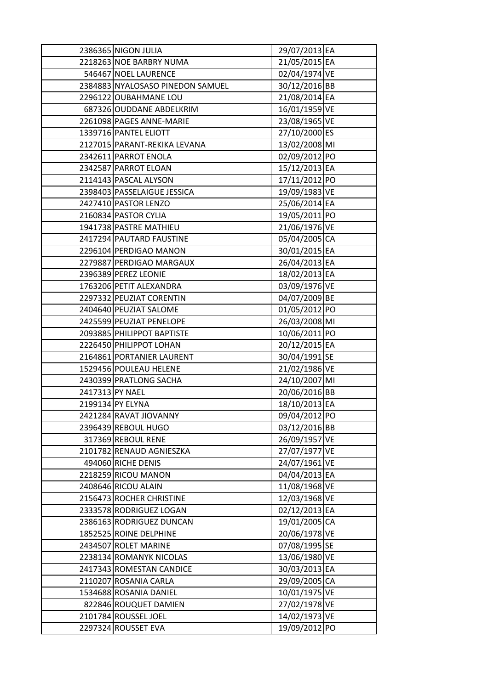|                 | 2386365 NIGON JULIA              | 29/07/2013 EA |  |
|-----------------|----------------------------------|---------------|--|
|                 | 2218263 NOE BARBRY NUMA          | 21/05/2015 EA |  |
|                 | 546467 NOEL LAURENCE             | 02/04/1974 VE |  |
|                 | 2384883 NYALOSASO PINEDON SAMUEL | 30/12/2016 BB |  |
|                 | 2296122 OUBAHMANE LOU            | 21/08/2014 EA |  |
|                 | 687326 OUDDANE ABDELKRIM         | 16/01/1959 VE |  |
|                 | 2261098 PAGES ANNE-MARIE         | 23/08/1965 VE |  |
|                 | 1339716 PANTEL ELIOTT            | 27/10/2000 ES |  |
|                 | 2127015 PARANT-REKIKA LEVANA     | 13/02/2008 MI |  |
|                 | 2342611 PARROT ENOLA             | 02/09/2012 PO |  |
|                 | 2342587 PARROT ELOAN             | 15/12/2013 EA |  |
|                 | 2114143 PASCAL ALYSON            | 17/11/2012 PO |  |
|                 | 2398403 PASSELAIGUE JESSICA      | 19/09/1983 VE |  |
|                 | 2427410 PASTOR LENZO             | 25/06/2014 EA |  |
|                 | 2160834 PASTOR CYLIA             | 19/05/2011 PO |  |
|                 | 1941738 PASTRE MATHIEU           | 21/06/1976 VE |  |
|                 | 2417294 PAUTARD FAUSTINE         | 05/04/2005 CA |  |
|                 | 2296104 PERDIGAO MANON           | 30/01/2015 EA |  |
|                 | 2279887 PERDIGAO MARGAUX         | 26/04/2013 EA |  |
|                 | 2396389 PEREZ LEONIE             | 18/02/2013 EA |  |
|                 | 1763206 PETIT ALEXANDRA          | 03/09/1976 VE |  |
|                 | 2297332 PEUZIAT CORENTIN         | 04/07/2009 BE |  |
|                 | 2404640 PEUZIAT SALOME           | 01/05/2012 PO |  |
|                 | 2425599 PEUZIAT PENELOPE         | 26/03/2008 MI |  |
|                 | 2093885 PHILIPPOT BAPTISTE       | 10/06/2011 PO |  |
|                 | 2226450 PHILIPPOT LOHAN          | 20/12/2015 EA |  |
|                 | 2164861 PORTANIER LAURENT        | 30/04/1991 SE |  |
|                 | 1529456 POULEAU HELENE           | 21/02/1986 VE |  |
|                 | 2430399 PRATLONG SACHA           | 24/10/2007 MI |  |
| 2417313 PY NAEL |                                  | 20/06/2016 BB |  |
|                 | 2199134 PY ELYNA                 | 18/10/2013 EA |  |
|                 | 2421284 RAVAT JIOVANNY           | 09/04/2012 PO |  |
|                 | 2396439 REBOUL HUGO              | 03/12/2016 BB |  |
|                 | 317369 REBOUL RENE               | 26/09/1957 VE |  |
|                 | 2101782 RENAUD AGNIESZKA         | 27/07/1977 VE |  |
|                 | 494060 RICHE DENIS               | 24/07/1961 VE |  |
|                 | 2218259 RICOU MANON              | 04/04/2013 EA |  |
|                 | 2408646 RICOU ALAIN              | 11/08/1968 VE |  |
|                 | 2156473 ROCHER CHRISTINE         | 12/03/1968 VE |  |
|                 | 2333578 RODRIGUEZ LOGAN          | 02/12/2013 EA |  |
|                 | 2386163 RODRIGUEZ DUNCAN         | 19/01/2005 CA |  |
|                 | 1852525 ROINE DELPHINE           | 20/06/1978 VE |  |
|                 | 2434507 ROLET MARINE             | 07/08/1995 SE |  |
|                 | 2238134 ROMANYK NICOLAS          | 13/06/1980 VE |  |
|                 | 2417343 ROMESTAN CANDICE         | 30/03/2013 EA |  |
|                 | 2110207 ROSANIA CARLA            | 29/09/2005 CA |  |
|                 | 1534688 ROSANIA DANIEL           | 10/01/1975 VE |  |
|                 | 822846 ROUQUET DAMIEN            | 27/02/1978 VE |  |
|                 | 2101784 ROUSSEL JOEL             | 14/02/1973 VE |  |
|                 | 2297324 ROUSSET EVA              | 19/09/2012 PO |  |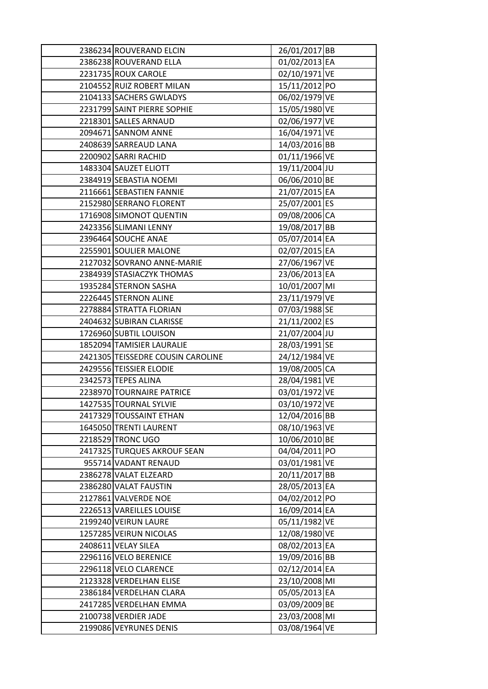| 2386234 ROUVERAND ELCIN           | 26/01/2017 BB |  |
|-----------------------------------|---------------|--|
| 2386238 ROUVERAND ELLA            | 01/02/2013 EA |  |
| 2231735 ROUX CAROLE               | 02/10/1971 VE |  |
| 2104552 RUIZ ROBERT MILAN         | 15/11/2012 PO |  |
| 2104133 SACHERS GWLADYS           | 06/02/1979 VE |  |
| 2231799 SAINT PIERRE SOPHIE       | 15/05/1980 VE |  |
| 2218301 SALLES ARNAUD             | 02/06/1977 VE |  |
| 2094671 SANNOM ANNE               | 16/04/1971 VE |  |
| 2408639 SARREAUD LANA             | 14/03/2016 BB |  |
| 2200902 SARRI RACHID              | 01/11/1966 VE |  |
| 1483304 SAUZET ELIOTT             | 19/11/2004 JU |  |
| 2384919 SEBASTIA NOEMI            | 06/06/2010 BE |  |
| 2116661 SEBASTIEN FANNIE          | 21/07/2015 EA |  |
| 2152980 SERRANO FLORENT           | 25/07/2001 ES |  |
| 1716908 SIMONOT QUENTIN           | 09/08/2006 CA |  |
| 2423356 SLIMANI LENNY             | 19/08/2017 BB |  |
| 2396464 SOUCHE ANAE               | 05/07/2014 EA |  |
| 2255901 SOULIER MALONE            | 02/07/2015 EA |  |
| 2127032 SOVRANO ANNE-MARIE        | 27/06/1967 VE |  |
| 2384939 STASIACZYK THOMAS         | 23/06/2013 EA |  |
| 1935284 STERNON SASHA             | 10/01/2007 MI |  |
| 2226445 STERNON ALINE             | 23/11/1979 VE |  |
| 2278884 STRATTA FLORIAN           | 07/03/1988 SE |  |
| 2404632 SUBIRAN CLARISSE          | 21/11/2002 ES |  |
| 1726960 SUBTIL LOUISON            | 21/07/2004 JU |  |
| 1852094 TAMISIER LAURALIE         | 28/03/1991 SE |  |
| 2421305 TEISSEDRE COUSIN CAROLINE | 24/12/1984 VE |  |
| 2429556 TEISSIER ELODIE           | 19/08/2005 CA |  |
| 2342573 TEPES ALINA               | 28/04/1981 VE |  |
| 2238970 TOURNAIRE PATRICE         | 03/01/1972 VE |  |
| 1427535 TOURNAL SYLVIE            | 03/10/1972 VE |  |
| 2417329 TOUSSAINT ETHAN           | 12/04/2016 BB |  |
| 1645050 TRENTI LAURENT            | 08/10/1963 VE |  |
| 2218529 TRONC UGO                 | 10/06/2010 BE |  |
| 2417325 TURQUES AKROUF SEAN       | 04/04/2011 PO |  |
| 955714 VADANT RENAUD              | 03/01/1981 VE |  |
| 2386278 VALAT ELZEARD             | 20/11/2017 BB |  |
| 2386280 VALAT FAUSTIN             | 28/05/2013 EA |  |
| 2127861 VALVERDE NOE              | 04/02/2012 PO |  |
| 2226513 VAREILLES LOUISE          | 16/09/2014 EA |  |
| 2199240 VEIRUN LAURE              | 05/11/1982 VE |  |
| 1257285 VEIRUN NICOLAS            | 12/08/1980 VE |  |
| 2408611 VELAY SILEA               | 08/02/2013 EA |  |
| 2296116 VELO BERENICE             | 19/09/2016 BB |  |
| 2296118 VELO CLARENCE             | 02/12/2014 EA |  |
| 2123328 VERDELHAN ELISE           | 23/10/2008 MI |  |
| 2386184 VERDELHAN CLARA           | 05/05/2013 EA |  |
| 2417285 VERDELHAN EMMA            | 03/09/2009 BE |  |
| 2100738 VERDIER JADE              | 23/03/2008 MI |  |
| 2199086 VEYRUNES DENIS            | 03/08/1964 VE |  |
|                                   |               |  |